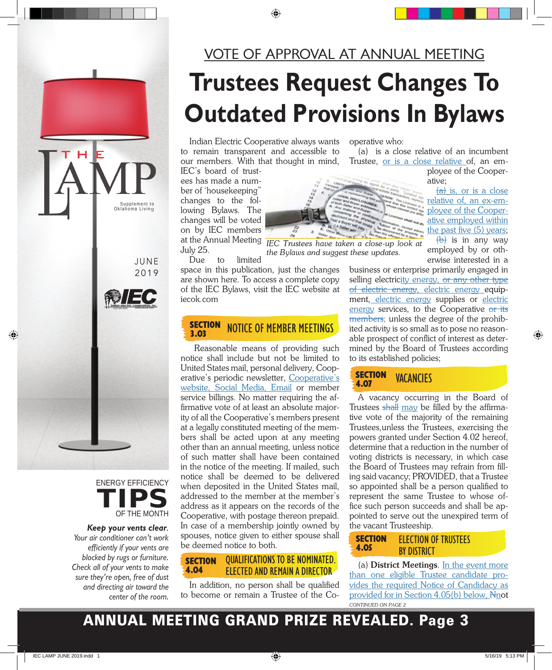

## **Trustees Request Changes To Outdated Provisions In Bylaws**

Indian Electric Cooperative always wants to remain transparent and accessible to our members. With that thought in mind,

IEC's board of trustees has made a number of 'housekeeping' changes to the following Bylaws. The changes will be voted on by IEC members July 25.

Due to limited

space in this publication, just the changes are shown here. To access a complete copy of the IEC Bylaws, visit the IEC website at iecok.com

#### **SECTION** NOTICE OF MEMBER MEETINGS 3.03

Reasonable means of providing such notice shall include but not be limited to United States mail, personal delivery, Cooperative's periodic newsletter, Cooperative's website, Social Media, Email or member service billings. No matter requiring the affirmative vote of at least an absolute majority of all the Cooperative's members present at a legally constituted meeting of the members shall be acted upon at any meeting other than an annual meeting, unless notice of such matter shall have been contained in the notice of the meeting. If mailed, such notice shall be deemed to be delivered when deposited in the United States mail, addressed to the member at the member's address as it appears on the records of the Cooperative, with postage thereon prepaid. In case of a membership jointly owned by spouses, notice given to either spouse shall be deemed notice to both.

#### QUALIFICATIONS TO BE NOMINATED. ELECTED AND REMAIN A DIRECTOR **SECTION** 4.04

In addition, no person shall be qualified to become or remain a Trustee of the Cooperative who:

(a) is a close relative of an incumbent Trustee, or is a close relative of, an em-

ployee of the Cooperative;

 $(a)$  is, or is a close relative of, an ex-employee of the Cooperative employed within the past five (5) years;  $(b)$  is in any way

employed by or otherwise interested in a

business or enterprise primarily engaged in selling electricity energy, or any other type of electric energy, electric energy equipment, electric energy supplies or electric energy services, to the Cooperative or its members; unless the degree of the prohibited activity is so small as to pose no reasonable prospect of conflict of interest as determined by the Board of Trustees according to its established policies;

SECTION<br>4.07 **VACANCIES** 

A vacancy occurring in the Board of Trustees shall may be filled by the affirmative vote of the majority of the remaining Trustees,unless the Trustees, exercising the powers granted under Section 4.02 hereof, determine that a reduction in the number of voting districts is necessary, in which case the Board of Trustees may refrain from filling said vacancy; PROVIDED, that a Trustee so appointed shall be a person qualified to represent the same Trustee to whose office such person succeeds and shall be appointed to serve out the unexpired term of the vacant Trusteeship.

#### **SECTION** 4.05 ELECTION OF TRUSTEES **BY DISTRICT**

(a) **District Meetings**. In the event more than one eligible Trustee candidate provides the required Notice of Candidacy as provided for in Section 4.05(b) below, Nnot *CONTINUED ON PAGE 2*







н



**Keep your vents clear**. Your air conditioner can't work efficiently if your vents are blocked by rugs or furniture. Check all of your vents to make sure they're open, free of dust and directing air toward the center of the room.



at the Annual Meeting *IEC Trustees have taken a close-up look at the Bylaws and suggest these updates.*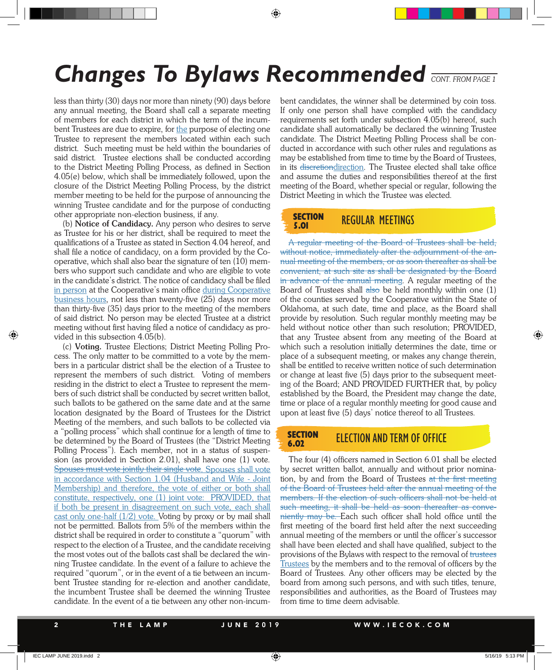## **Changes To Bylaws Recommended** *CONT. FROM PAGE 1*

less than thirty (30) days nor more than ninety (90) days before any annual meeting, the Board shall call a separate meeting of members for each district in which the term of the incumbent Trustees are due to expire, for the purpose of electing one Trustee to represent the members located within each such district. Such meeting must be held within the boundaries of said district. Trustee elections shall be conducted according to the District Meeting Polling Process, as defined in Section 4.05(e) below, which shall be immediately followed, upon the closure of the District Meeting Polling Process, by the district member meeting to be held for the purpose of announcing the winning Trustee candidate and for the purpose of conducting other appropriate non-election business, if any.

(b) **Notice of Candidacy.** Any person who desires to serve as Trustee for his or her district, shall be required to meet the qualifications of a Trustee as stated in Section 4.04 hereof, and shall file a notice of candidacy, on a form provided by the Cooperative, which shall also bear the signature of ten (10) members who support such candidate and who are eligible to vote in the candidate's district. The notice of candidacy shall be filed in person at the Cooperative's main office during Cooperative business hours, not less than twenty-five (25) days nor more than thirty-five (35) days prior to the meeting of the members of said district. No person may be elected Trustee at a district meeting without first having filed a notice of candidacy as provided in this subsection 4.05(b).

(c) **Voting.** Trustee Elections; District Meeting Polling Process. The only matter to be committed to a vote by the members in a particular district shall be the election of a Trustee to represent the members of such district. Voting of members residing in the district to elect a Trustee to represent the members of such district shall be conducted by secret written ballot, such ballots to be gathered on the same date and at the same location designated by the Board of Trustees for the District Meeting of the members, and such ballots to be collected via a "polling process" which shall continue for a length of time to be determined by the Board of Trustees (the "District Meeting Polling Process"). Each member, not in a status of suspension (as provided in Section 2.01), shall have one (1) vote. Spouses must vote jointly their single vote. Spouses shall vote in accordance with Section 1.04 (Husband and Wife - Joint Membership) and therefore, the vote of either or both shall constitute, respectively, one (1) joint vote: PROVIDED, that if both be present in disagreement on such vote, each shall cast only one-half (1/2) vote. Voting by proxy or by mail shall not be permitted. Ballots from 5% of the members within the district shall be required in order to constitute a "quorum" with respect to the election of a Trustee, and the candidate receiving the most votes out of the ballots cast shall be declared the winning Trustee candidate. In the event of a failure to achieve the required "quorum", or in the event of a tie between an incumbent Trustee standing for re-election and another candidate, the incumbent Trustee shall be deemed the winning Trustee candidate. In the event of a tie between any other non-incumbent candidates, the winner shall be determined by coin toss. If only one person shall have complied with the candidacy requirements set forth under subsection 4.05(b) hereof, such candidate shall automatically be declared the winning Trustee candidate. The District Meeting Polling Process shall be conducted in accordance with such other rules and regulations as may be established from time to time by the Board of Trustees, in its discretiondirection. The Trustee elected shall take office and assume the duties and responsibilities thereof at the first meeting of the Board, whether special or regular, following the District Meeting in which the Trustee was elected.

#### SECTION REGULAR MEETINGS 5.01

A regular meeting of the Board of Trustees shall be held, without notice, immediately after the adjournment of the annual meeting of the members, or as soon thereafter as shall be convenient, at such site as shall be designated by the Board in advance of the annual meeting. A regular meeting of the Board of Trustees shall  $\frac{1}{\text{abs}}$  be held monthly within one (1) of the counties served by the Cooperative within the State of Oklahoma, at such date, time and place, as the Board shall provide by resolution. Such regular monthly meeting may be held without notice other than such resolution; PROVIDED, that any Trustee absent from any meeting of the Board at which such a resolution initially determines the date, time or place of a subsequent meeting, or makes any change therein, shall be entitled to receive written notice of such determination or change at least five (5) days prior to the subsequent meeting of the Board; AND PROVIDED FURTHER that, by policy established by the Board, the President may change the date, time or place of a regular monthly meeting for good cause and upon at least five (5) days' notice thereof to all Trustees.

#### **SECTION ELECTION AND TERM OF OFFICE** 6.02

The four (4) officers named in Section 6.01 shall be elected by secret written ballot, annually and without prior nomination, by and from the Board of Trustees at the first meeting of the Board of Trustees held after the annual meeting of the members. If the election of such officers shall not be held at such meeting, it shall be held as soon thereafter as conveniently may be. Each such officer shall hold office until the first meeting of the board first held after the next succeeding annual meeting of the members or until the officer's successor shall have been elected and shall have qualified, subject to the provisions of the Bylaws with respect to the removal of trustees Trustees by the members and to the removal of officers by the Board of Trustees. Any other officers may be elected by the board from among such persons, and with such titles, tenure, responsibilities and authorities, as the Board of Trustees may from time to time deem advisable.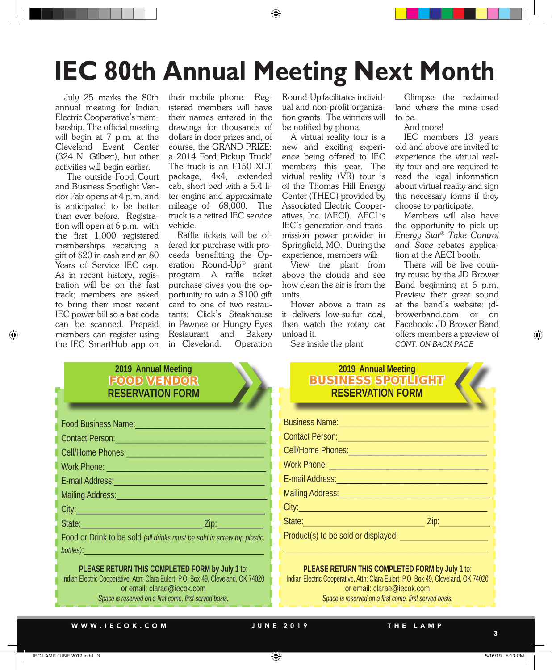# **IEC 80th Annual Meeting Next Month**

July 25 marks the 80th annual meeting for Indian Electric Cooperative's membership. The official meeting will begin at 7 p.m. at the Cleveland Event Center (324 N. Gilbert), but other activities will begin earlier.

 The outside Food Court and Business Spotlight Vendor Fair opens at 4 p.m. and is anticipated to be better than ever before. Registration will open at 6 p.m. with the first 1,000 registered memberships receiving a gift of \$20 in cash and an 80 Years of Service IEC cap. As in recent history, registration will be on the fast track; members are asked to bring their most recent IEC power bill so a bar code can be scanned. Prepaid members can register using the IEC SmartHub app on

their mobile phone. Registered members will have their names entered in the drawings for thousands of dollars in door prizes and, of course, the GRAND PRIZE: a 2014 Ford Pickup Truck! The truck is an F150 XLT package, 4x4, extended cab, short bed with a 5.4 liter engine and approximate mileage of 68,000. The truck is a retired IEC service vehicle.

Raffle tickets will be offered for purchase with proceeds benefitting the Operation Round-Up® grant program. A raffle ticket purchase gives you the opportunity to win a \$100 gift card to one of two restaurants: Click's Steakhouse in Pawnee or Hungry Eyes Restaurant and Bakery in Cleveland. Operation

Round-Upfacilitates individual and non-profit organization grants. The winners will be notified by phone.

A virtual reality tour is a new and exciting experience being offered to IEC members this year. The virtual reality (VR) tour is of the Thomas Hill Energy Center (THEC) provided by Associated Electric Cooperatives, Inc. (AECI). AECI is IEC's generation and transmission power provider in Springfield, MO. During the experience, members will:

View the plant from above the clouds and see how clean the air is from the units.

Hover above a train as it delivers low-sulfur coal, then watch the rotary car unload it.

See inside the plant.

Glimpse the reclaimed land where the mine used to be.

And more!

IEC members 13 years old and above are invited to experience the virtual reality tour and are required to read the legal information about virtual reality and sign the necessary forms if they choose to participate.

Members will also have the opportunity to pick up *Energy Star® Take Control and Save* rebates application at the AECI booth.

There will be live country music by the JD Brower Band beginning at 6 p.m. Preview their great sound at the band's website: jdbrowerband.com or on Facebook: JD Brower Band offers members a preview of *CONT. ON BACK PAGE*

### **2019 Annual Meeting** FOOD VENDOR **RESERVATION FORM**

| Food Business Name: Manual Manual Manual Manual Manual Manual                                                 |  |
|---------------------------------------------------------------------------------------------------------------|--|
| Contact Person: 2008 - 2009 - 2010 - 2010 - 2010 - 2010 - 2010 - 2010 - 2010 - 2010 - 2010 - 2010 - 2010 - 20 |  |
| Cell/Home Phones: Management Control of the Phones:                                                           |  |
|                                                                                                               |  |
| E-mail Address: No. 1994                                                                                      |  |
|                                                                                                               |  |
| City: City:                                                                                                   |  |
|                                                                                                               |  |
| Food or Drink to be sold (all drinks must be sold in screw top plastic                                        |  |
|                                                                                                               |  |

**PLEASE RETURN THIS COMPLETED FORM by July 1** to: Indian Electric Cooperative, Attn: Clara Eulert; P.O. Box 49, Cleveland, OK 74020 or email: clarae@iecok.com *Space is reserved on a first come, first served basis.*

### **2019 Annual Meeting** BUSINESS SPOTLIGHT **RESERVATION FORM**

| Business Name: Manual Manual Manual Manual Manual Manual Manual Manual Manual Manual Manual Manual Manual Manu                                                                                                                      |
|-------------------------------------------------------------------------------------------------------------------------------------------------------------------------------------------------------------------------------------|
| Contact Person: New York Contact Person:                                                                                                                                                                                            |
|                                                                                                                                                                                                                                     |
| Work Phone: 2008 - 2008 - 2010 - 2010 - 2010 - 2010 - 2021 - 2021 - 2021 - 2021 - 2021 - 2021 - 2021 - 2021 -                                                                                                                       |
| E-mail Address: <b>Andre</b> State Contract Contract Contract Contract Contract Contract Contract Contract Contract Contract Contract Contract Contract Contract Contract Contract Contract Contract Contract Contract Contract Con |
|                                                                                                                                                                                                                                     |
|                                                                                                                                                                                                                                     |
|                                                                                                                                                                                                                                     |
| Product(s) to be sold or displayed:                                                                                                                                                                                                 |
|                                                                                                                                                                                                                                     |

**PLEASE RETURN THIS COMPLETED FORM by July 1** to: Indian Electric Cooperative, Attn: Clara Eulert; P.O. Box 49, Cleveland, OK 74020 or email: clarae@iecok.com *Space is reserved on a first come, first served basis.*